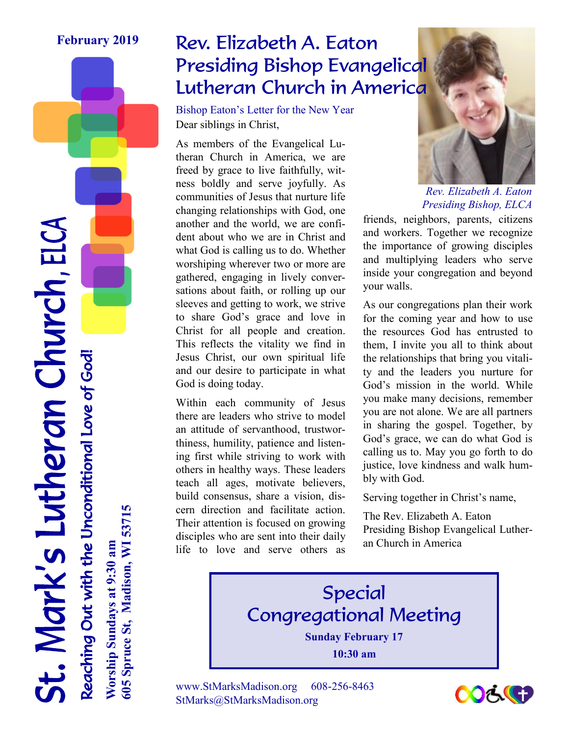#### **February 2019**

## Rev. Elizabeth A. Eaton Presiding Bishop Evangelical Lutheran Church in America

Dear siblings in Christ, Bishop Eaton's Letter for the New Year

As members of the Evangelical Lutheran Church in America, we are freed by grace to live faithfully, witness boldly and serve joyfully. As communities of Jesus that nurture life changing relationships with God, one another and the world, we are confident about who we are in Christ and what God is calling us to do. Whether worshiping wherever two or more are gathered, engaging in lively conversations about faith, or rolling up our sleeves and getting to work, we strive to share God's grace and love in Christ for all people and creation. This reflects the vitality we find in Jesus Christ, our own spiritual life and our desire to participate in what God is doing today.

Within each community of Jesus there are leaders who strive to model an attitude of servanthood, trustworthiness, humility, patience and listening first while striving to work with others in healthy ways. These leaders teach all ages, motivate believers, build consensus, share a vision, discern direction and facilitate action. Their attention is focused on growing disciples who are sent into their daily life to love and serve others as



*Rev. Elizabeth A. Eaton Presiding Bishop, ELCA*

friends, neighbors, parents, citizens and workers. Together we recognize the importance of growing disciples and multiplying leaders who serve inside your congregation and beyond your walls.

As our congregations plan their work for the coming year and how to use the resources God has entrusted to them, I invite you all to think about the relationships that bring you vitality and the leaders you nurture for God's mission in the world. While you make many decisions, remember you are not alone. We are all partners in sharing the gospel. Together, by God's grace, we can do what God is calling us to. May you go forth to do justice, love kindness and walk humbly with God.

Serving together in Christ's name,

The Rev. Elizabeth A. Eaton Presiding Bishop Evangelical Lutheran Church in America





St. Mark's Lutheran Church, ELCA Reaching Out with the Unconditional Love of God! **Worship Sundays at 9:30 am** Reaching Out with the Unconditional Love of God!

**605 Spruce St, Madison, WI 53715**

505 Spruce St, Madison, WI 53715

Worship Sundays at 9:30 am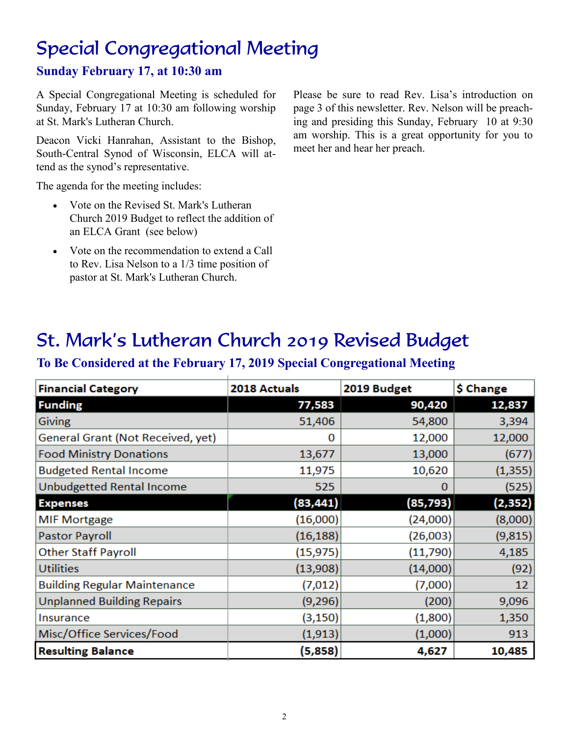# Special Congregational Meeting

### **Sunday February 17, at 10:30 am**

A Special Congregational Meeting is scheduled for Sunday, February 17 at 10:30 am following worship at St. Mark's Lutheran Church.

Deacon Vicki Hanrahan, Assistant to the Bishop, South-Central Synod of Wisconsin, ELCA will attend as the synod's representative.

The agenda for the meeting includes:

- Vote on the Revised St. Mark's Lutheran Church 2019 Budget to reflect the addition of an ELCA Grant (see below)
- Vote on the recommendation to extend a Call to Rev. Lisa Nelson to a 1/3 time position of pastor at St. Mark's Lutheran Church.

Please be sure to read Rev. Lisa's introduction on page 3 of this newsletter. Rev. Nelson will be preaching and presiding this Sunday, February 10 at 9:30 am worship. This is a great opportunity for you to meet her and hear her preach.

### St. Mark's Lutheran Church 2019 Revised Budget

### **To Be Considered at the February 17, 2019 Special Congregational Meeting**

| <b>Financial Category</b>           | 2018 Actuals | 2019 Budget | \$ Change |
|-------------------------------------|--------------|-------------|-----------|
| <b>Funding</b>                      | 77,583       | 90,420      | 12,837    |
| <b>Giving</b>                       | 51,406       | 54,800      | 3,394     |
| General Grant (Not Received, yet)   | 0            | 12,000      | 12,000    |
| <b>Food Ministry Donations</b>      | 13,677       | 13,000      | (677)     |
| <b>Budgeted Rental Income</b>       | 11,975       | 10,620      | (1, 355)  |
| Unbudgetted Rental Income           | 525          | o           | (525)     |
| <b>Expenses</b>                     | (83, 441)    | (85, 793)   | (2, 352)  |
| <b>MIF Mortgage</b>                 | (16,000)     | (24,000)    | (8,000)   |
| <b>Pastor Payroll</b>               | (16, 188)    | (26,003)    | (9,815)   |
| <b>Other Staff Payroll</b>          | (15, 975)    | (11,790)    | 4,185     |
| <b>Utilities</b>                    | (13,908)     | (14,000)    | (92)      |
| <b>Building Regular Maintenance</b> | (7,012)      | (7,000)     | 12        |
| <b>Unplanned Building Repairs</b>   | (9,296)      | (200)       | 9,096     |
| Insurance                           | (3, 150)     | (1,800)     | 1,350     |
| Misc/Office Services/Food           | (1, 913)     | (1,000)     | 913       |
| <b>Resulting Balance</b>            | (5,858)      | 4,627       | 10,485    |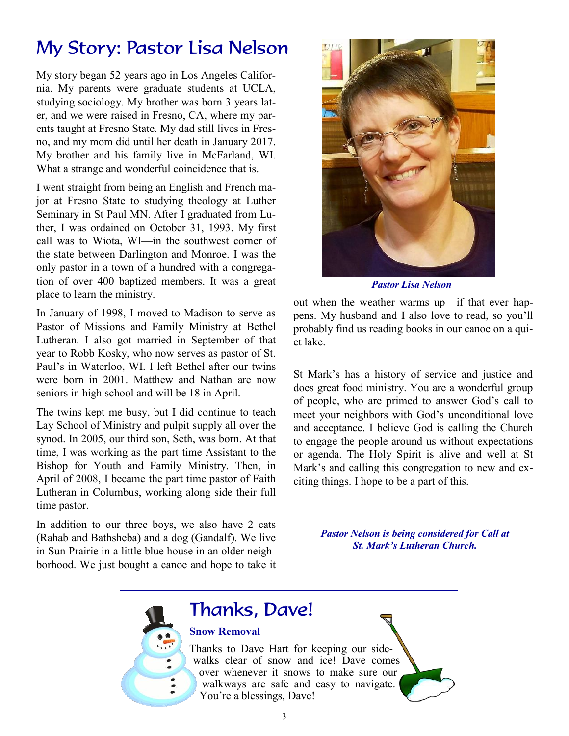## My Story: Pastor Lisa Nelson

My story began 52 years ago in Los Angeles California. My parents were graduate students at UCLA, studying sociology. My brother was born 3 years later, and we were raised in Fresno, CA, where my parents taught at Fresno State. My dad still lives in Fresno, and my mom did until her death in January 2017. My brother and his family live in McFarland, WI. What a strange and wonderful coincidence that is.

I went straight from being an English and French major at Fresno State to studying theology at Luther Seminary in St Paul MN. After I graduated from Luther, I was ordained on October 31, 1993. My first call was to Wiota, WI—in the southwest corner of the state between Darlington and Monroe. I was the only pastor in a town of a hundred with a congregation of over 400 baptized members. It was a great place to learn the ministry.

In January of 1998, I moved to Madison to serve as Pastor of Missions and Family Ministry at Bethel Lutheran. I also got married in September of that year to Robb Kosky, who now serves as pastor of St. Paul's in Waterloo, WI. I left Bethel after our twins were born in 2001. Matthew and Nathan are now seniors in high school and will be 18 in April.

The twins kept me busy, but I did continue to teach Lay School of Ministry and pulpit supply all over the synod. In 2005, our third son, Seth, was born. At that time, I was working as the part time Assistant to the Bishop for Youth and Family Ministry. Then, in April of 2008, I became the part time pastor of Faith Lutheran in Columbus, working along side their full time pastor.

In addition to our three boys, we also have 2 cats (Rahab and Bathsheba) and a dog (Gandalf). We live in Sun Prairie in a little blue house in an older neighborhood. We just bought a canoe and hope to take it



*Pastor Lisa Nelson* 

out when the weather warms up—if that ever happens. My husband and I also love to read, so you'll probably find us reading books in our canoe on a quiet lake.

St Mark's has a history of service and justice and does great food ministry. You are a wonderful group of people, who are primed to answer God's call to meet your neighbors with God's unconditional love and acceptance. I believe God is calling the Church to engage the people around us without expectations or agenda. The Holy Spirit is alive and well at St Mark's and calling this congregation to new and exciting things. I hope to be a part of this.

> *Pastor Nelson is being considered for Call at St. Mark's Lutheran Church.*